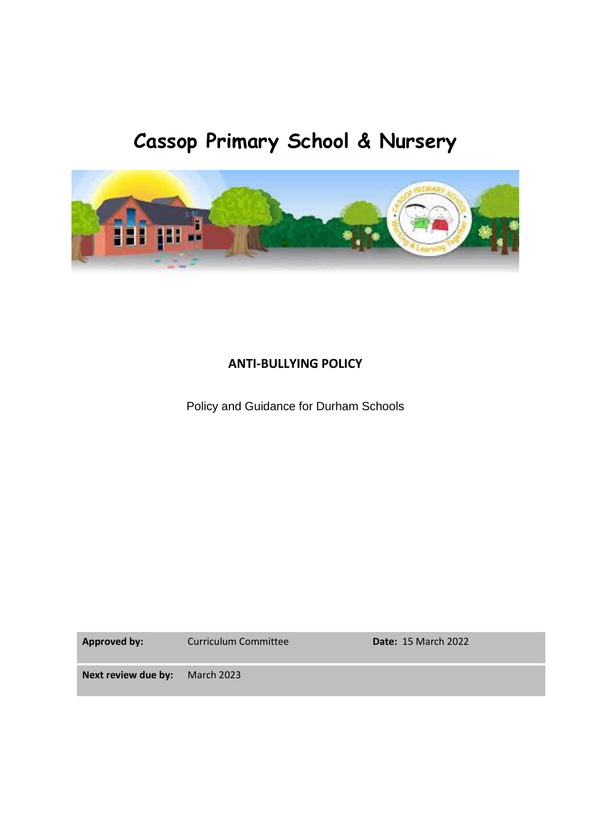# **Cassop Primary School & Nursery**



# **ANTI-BULLYING POLICY**

Policy and Guidance for Durham Schools

Approved by: Curriculum Committee **Date:** 15 March 2022

**Next review due by:** March 2023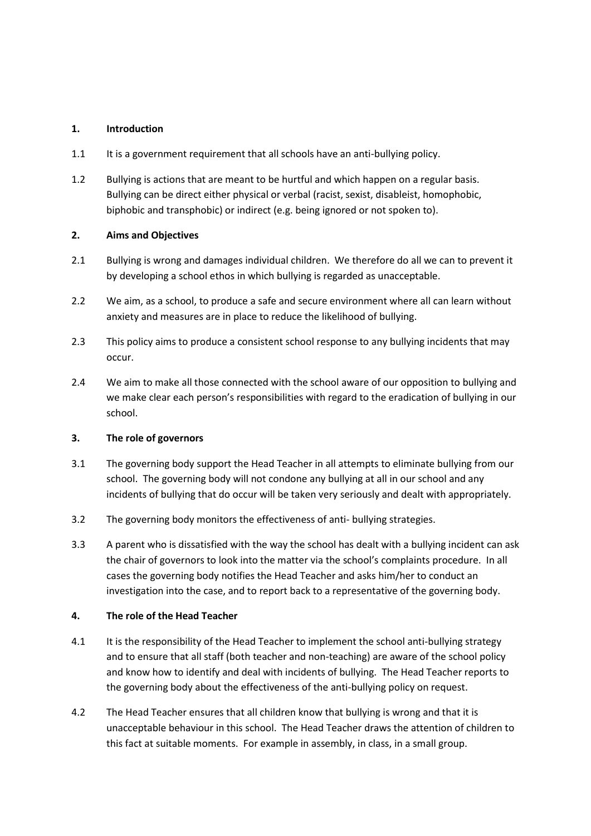## **1. Introduction**

- 1.1 It is a government requirement that all schools have an anti-bullying policy.
- 1.2 Bullying is actions that are meant to be hurtful and which happen on a regular basis. Bullying can be direct either physical or verbal (racist, sexist, disableist, homophobic, biphobic and transphobic) or indirect (e.g. being ignored or not spoken to).

### **2. Aims and Objectives**

- 2.1 Bullying is wrong and damages individual children. We therefore do all we can to prevent it by developing a school ethos in which bullying is regarded as unacceptable.
- 2.2 We aim, as a school, to produce a safe and secure environment where all can learn without anxiety and measures are in place to reduce the likelihood of bullying.
- 2.3 This policy aims to produce a consistent school response to any bullying incidents that may occur.
- 2.4 We aim to make all those connected with the school aware of our opposition to bullying and we make clear each person's responsibilities with regard to the eradication of bullying in our school.

#### **3. The role of governors**

- 3.1 The governing body support the Head Teacher in all attempts to eliminate bullying from our school. The governing body will not condone any bullying at all in our school and any incidents of bullying that do occur will be taken very seriously and dealt with appropriately.
- 3.2 The governing body monitors the effectiveness of anti- bullying strategies.
- 3.3 A parent who is dissatisfied with the way the school has dealt with a bullying incident can ask the chair of governors to look into the matter via the school's complaints procedure. In all cases the governing body notifies the Head Teacher and asks him/her to conduct an investigation into the case, and to report back to a representative of the governing body.

#### **4. The role of the Head Teacher**

- 4.1 It is the responsibility of the Head Teacher to implement the school anti-bullying strategy and to ensure that all staff (both teacher and non-teaching) are aware of the school policy and know how to identify and deal with incidents of bullying. The Head Teacher reports to the governing body about the effectiveness of the anti-bullying policy on request.
- 4.2 The Head Teacher ensures that all children know that bullying is wrong and that it is unacceptable behaviour in this school. The Head Teacher draws the attention of children to this fact at suitable moments. For example in assembly, in class, in a small group.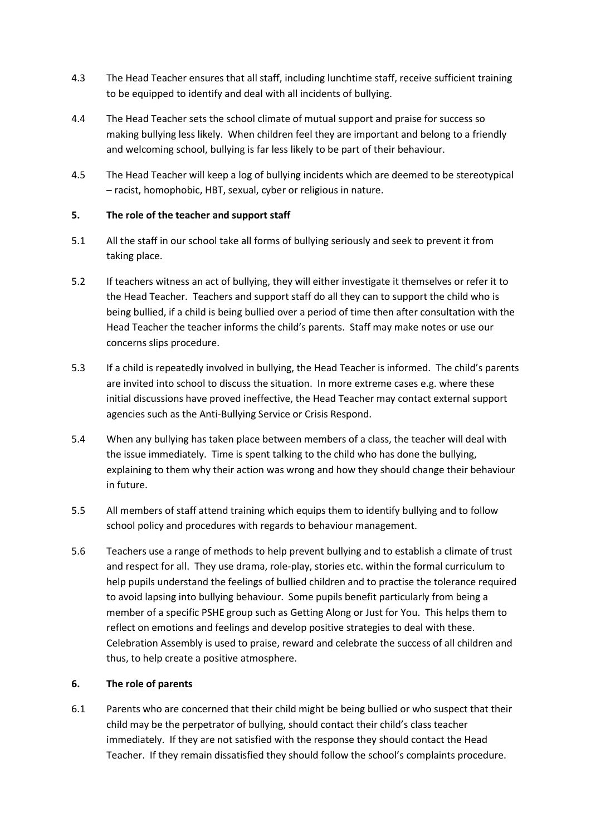- 4.3 The Head Teacher ensures that all staff, including lunchtime staff, receive sufficient training to be equipped to identify and deal with all incidents of bullying.
- 4.4 The Head Teacher sets the school climate of mutual support and praise for success so making bullying less likely. When children feel they are important and belong to a friendly and welcoming school, bullying is far less likely to be part of their behaviour.
- 4.5 The Head Teacher will keep a log of bullying incidents which are deemed to be stereotypical – racist, homophobic, HBT, sexual, cyber or religious in nature.

## **5. The role of the teacher and support staff**

- 5.1 All the staff in our school take all forms of bullying seriously and seek to prevent it from taking place.
- 5.2 If teachers witness an act of bullying, they will either investigate it themselves or refer it to the Head Teacher. Teachers and support staff do all they can to support the child who is being bullied, if a child is being bullied over a period of time then after consultation with the Head Teacher the teacher informs the child's parents. Staff may make notes or use our concerns slips procedure.
- 5.3 If a child is repeatedly involved in bullying, the Head Teacher is informed. The child's parents are invited into school to discuss the situation. In more extreme cases e.g. where these initial discussions have proved ineffective, the Head Teacher may contact external support agencies such as the Anti-Bullying Service or Crisis Respond.
- 5.4 When any bullying has taken place between members of a class, the teacher will deal with the issue immediately. Time is spent talking to the child who has done the bullying, explaining to them why their action was wrong and how they should change their behaviour in future.
- 5.5 All members of staff attend training which equips them to identify bullying and to follow school policy and procedures with regards to behaviour management.
- 5.6 Teachers use a range of methods to help prevent bullying and to establish a climate of trust and respect for all. They use drama, role-play, stories etc. within the formal curriculum to help pupils understand the feelings of bullied children and to practise the tolerance required to avoid lapsing into bullying behaviour. Some pupils benefit particularly from being a member of a specific PSHE group such as Getting Along or Just for You. This helps them to reflect on emotions and feelings and develop positive strategies to deal with these. Celebration Assembly is used to praise, reward and celebrate the success of all children and thus, to help create a positive atmosphere.

#### **6. The role of parents**

6.1 Parents who are concerned that their child might be being bullied or who suspect that their child may be the perpetrator of bullying, should contact their child's class teacher immediately. If they are not satisfied with the response they should contact the Head Teacher. If they remain dissatisfied they should follow the school's complaints procedure.